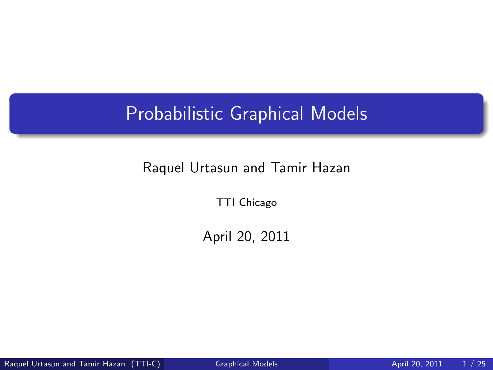## Probabilistic Graphical Models

#### Raquel Urtasun and Tamir Hazan

TTI Chicago

<span id="page-0-0"></span>April 20, 2011

Raquel Urtasun and Tamir Hazan (TTI-C) [Graphical Models](#page-24-0) **April 20, 2011** 1/25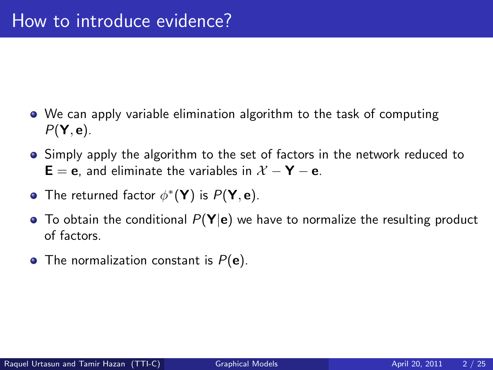- We can apply variable elimination algorithm to the task of computing  $P(Y, e)$ .
- **Simply apply the algorithm to the set of factors in the network reduced to**  $\mathsf{E} = \mathsf{e}$ , and eliminate the variables in  $\mathcal{X} - \mathsf{Y} - \mathsf{e}$ .
- The returned factor  $\phi^*(\mathsf{Y})$  is  $P(\mathsf{Y}, \mathsf{e})$ .
- $\bullet$  To obtain the conditional  $P(Y|e)$  we have to normalize the resulting product of factors.
- The normalization constant is  $P(e)$ .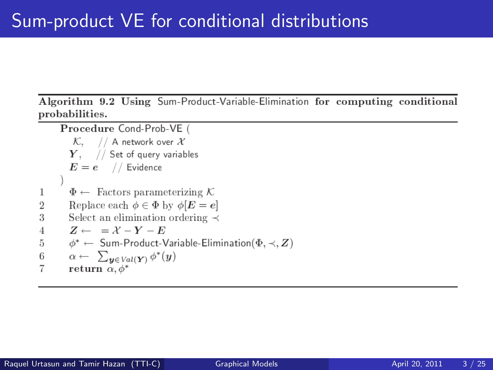Algorithm 9.2 Using Sum-Product-Variable-Elimination for computing conditional probabilities.

Procedure Cond-Prob-VE (  $\mathcal{K}, \quad //$  A network over  $\mathcal X$  $Y$ , // Set of query variables  $E = e$  // Evidence  $\Phi \leftarrow$  Factors parameterizing K 1 Replace each  $\phi \in \Phi$  by  $\phi[E = e]$  $\overline{2}$ 3 Select an elimination ordering  $\prec$  $Z \leftarrow = X - Y - E$  $\overline{4}$ 5  $\phi^* \leftarrow$  Sum-Product-Variable-Elimination( $\Phi, \prec, Z$ )  $\alpha \leftarrow \sum_{y \in Val(Y)} \phi^*(y)$ 6  $\overline{7}$ return  $\alpha$ ,  $\phi^*$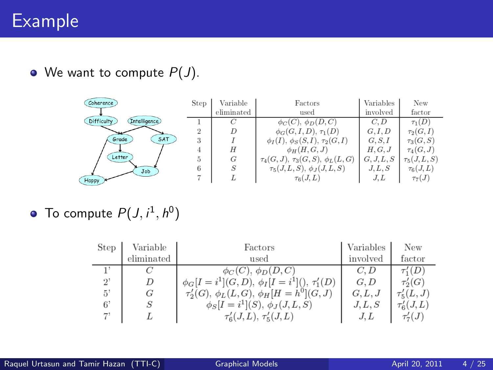#### Example

 $\bullet$  We want to compute  $P(J)$ .

| Coherence                    | <b>Step</b>          | Variable         | Factors                                    | Variables  | New             |
|------------------------------|----------------------|------------------|--------------------------------------------|------------|-----------------|
|                              |                      | eliminated       | used                                       | involved   | factor          |
| Difficulty<br>(Intelligence) |                      | C                | $\phi_C(C), \phi_D(D, C)$                  | C.D        | $\tau_1(D)$     |
|                              |                      | D                | $\phi_G(G, I, D), \tau_1(D)$               | G, I, D    | $\tau_2(G,I)$   |
| SAT<br>Grade                 | $\ddot{\phantom{1}}$ |                  | $\phi_I(I), \phi_S(S, I), \tau_2(G, I)$    | G, S, I    | $\tau_3(G, S)$  |
|                              |                      | Н                | $\phi_H(H,G,J)$                            | H, G, J    | $\tau_4(G,J)$   |
| Letter                       |                      | G                | $\tau_4(G, J), \tau_3(G, S), \phi_L(L, G)$ | G, J, L, S | $\tau_5(J,L,S)$ |
| Job                          |                      | $\boldsymbol{S}$ | $\tau_5(J,L,S), \phi_J(J,L,S)$             | J, L, S    | $\tau_6(J,L)$   |
| Happy                        |                      |                  | $\tau_6(J,L)$                              | J.L        | $\tau_7(J)$     |

To compute  $P(J, i^1, h^0)$ 

| <b>Step</b> | Variable   | Factors                                                 | Variables | New              |
|-------------|------------|---------------------------------------------------------|-----------|------------------|
|             | eliminated | used                                                    | involved  | factor           |
|             |            | $\phi_C(C)$ , $\phi_D(D, C)$                            | C.D       | $\tau'_1(D)$     |
| $2^{\circ}$ |            | $\phi_G[I = i^1](G, D), \phi_I[I = i^1](), \tau'_1(D)$  | G, D      | $\tau_2'(G)$     |
| 5'          | G          | $\tau'_{2}(G), \ \phi_L(L, G), \ \phi_H[H = h^0](G, J)$ | G, L, J   | $\tau'_{5}(L,J)$ |
| 6'          |            | $\phi_S[I = i^1](S), \phi_J(J, L, S)$                   | J, L, S   | $\tau_6'(J,L)$   |
|             |            | $\tau'_{6}(J,L), \tau'_{5}(J,L)$                        | J.L       | $\tau_{\tau}(J)$ |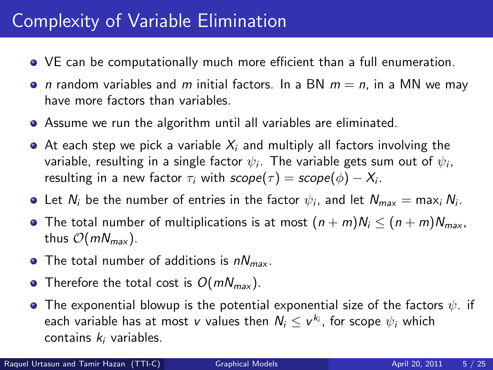# Complexity of Variable Elimination

- VE can be computationally much more efficient than a full enumeration.
- *n* random variables and *m* initial factors. In a BN  $m = n$ , in a MN we may have more factors than variables.
- Assume we run the algorithm until all variables are eliminated.
- $\bullet$  At each step we pick a variable  $X_i$  and multiply all factors involving the variable, resulting in a single factor  $\psi_i.$  The variable gets sum out of  $\psi_i,$ resulting in a new factor  $\tau_i$  with  $\mathit{scope}(\tau) = \mathit{scope}(\phi) - X_i.$
- Let  $N_i$  be the number of entries in the factor  $\psi_i$ , and let  $N_{\sf max} =$  max $_i$   $N_i$ .
- The total number of multiplications is at most  $(n + m)N_i \le (n + m)N_{max}$ , thus  $\mathcal{O}(mN_{max})$ .
- The total number of additions is  $nN_{max}$ .
- Therefore the total cost is  $O(mN_{max})$ .
- $\bullet$  The exponential blowup is the potential exponential size of the factors  $\psi$ . if each variable has at most  $v$  values then  $\mathcal{N}_i \leq v^{k_i}$ , for scope  $\psi_i$  which contains  $k_i$  variables.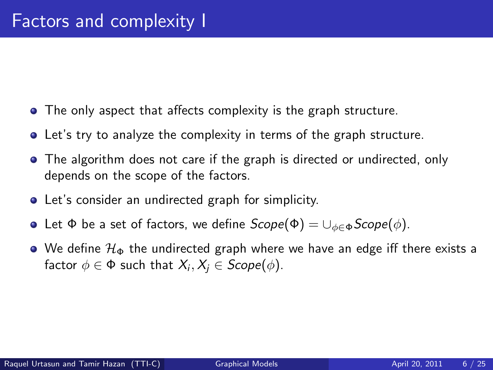- The only aspect that affects complexity is the graph structure.
- Let's try to analyze the complexity in terms of the graph structure.
- The algorithm does not care if the graph is directed or undirected, only depends on the scope of the factors.
- Let's consider an undirected graph for simplicity.
- Let Φ be a set of factors, we define  $Scope(Φ) = ∪_{φ ∈ Φ}$  Scope( $φ$ ).
- $\bullet$  We define  $\mathcal{H}_{\Phi}$  the undirected graph where we have an edge iff there exists a factor  $\phi \in \Phi$  such that  $\mathcal{X}_i, \mathcal{X}_j \in \mathit{Scope}(\phi).$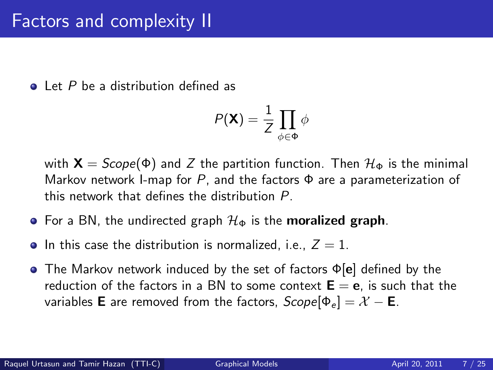#### Factors and complexity II

 $\bullet$  Let P be a distribution defined as

$$
P(\mathbf{X}) = \frac{1}{Z} \prod_{\phi \in \Phi} \phi
$$

with  $X = \text{Scope}(\Phi)$  and Z the partition function. Then  $\mathcal{H}_{\Phi}$  is the minimal Markov network I-map for P, and the factors  $\Phi$  are a parameterization of this network that defines the distribution P.

- For a BN, the undirected graph  $\mathcal{H}_{\Phi}$  is the **moralized graph**.
- In this case the distribution is normalized, i.e.,  $Z = 1$ .
- The Markov network induced by the set of factors Φ[e] defined by the reduction of the factors in a BN to some context  $E = e$ , is such that the variables **E** are removed from the factors,  $Scope[ $\Phi_e$ ] = X – **E**$ .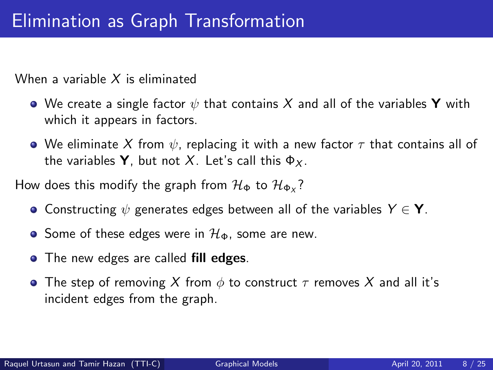When a variable  $X$  is eliminated

- We create a single factor  $\psi$  that contains X and all of the variables Y with which it appears in factors.
- We eliminate X from  $\psi$ , replacing it with a new factor  $\tau$  that contains all of the variables **Y**, but not X. Let's call this  $\Phi_X$ .

How does this modify the graph from  $\mathcal{H}_{\Phi}$  to  $\mathcal{H}_{\Phi_\mathsf{X}}?$ 

- Constructing  $\psi$  generates edges between all of the variables  $Y \in \mathbf{Y}$ .
- Some of these edges were in  $\mathcal{H}_{\Phi}$ , some are new.
- The new edges are called fill edges.
- **•** The step of removing X from  $\phi$  to construct  $\tau$  removes X and all it's incident edges from the graph.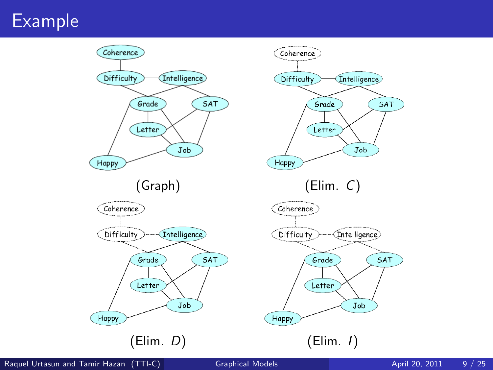## Example



Raquel Urtasun and Tamir Hazan (TTI-C) [Graphical Models](#page-0-0) **April 20, 2011** 9 / 25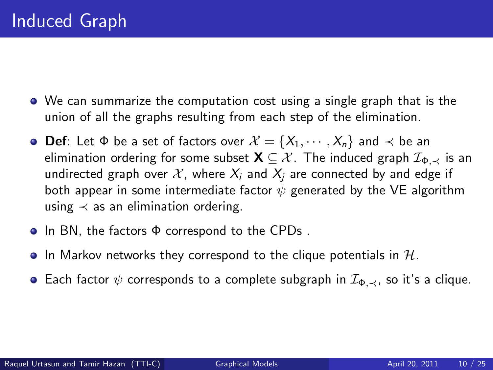- We can summarize the computation cost using a single graph that is the union of all the graphs resulting from each step of the elimination.
- $\bullet$  Def: Let Φ be a set of factors over  $\mathcal{X} = \{X_1, \cdots, X_n\}$  and  $\prec$  be an elimination ordering for some subset  $\mathbf{X} \subseteq \mathcal{X}$ . The induced graph  $\mathcal{I}_{\Phi}$  is an undirected graph over X, where  $X_i$  and  $X_i$  are connected by and edge if both appear in some intermediate factor  $\psi$  generated by the VE algorithm using  $\prec$  as an elimination ordering.
- In BN, the factors Φ correspond to the CPDs.
- $\bullet$  In Markov networks they correspond to the clique potentials in  $H$ .
- **•** Each factor  $\psi$  corresponds to a complete subgraph in  $\mathcal{I}_{\Phi,\prec}$ , so it's a clique.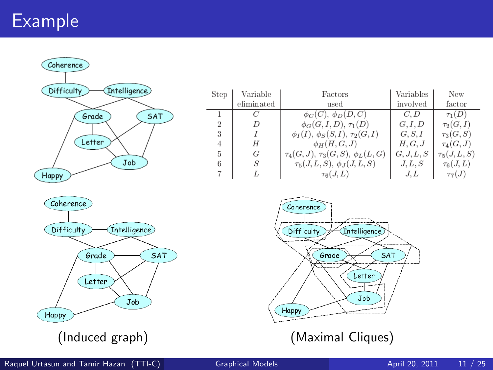## Example

Coherence Difficulty **Intelligence** Grade SAT Letter Job Happy

| <b>Step</b>    | Variable   | Factors                                    | Variables  | New             |  |
|----------------|------------|--------------------------------------------|------------|-----------------|--|
|                | eliminated | used                                       | involved   | factor          |  |
|                |            | $\phi_C(C)$ , $\phi_D(D, C)$               | C, D       | $\tau_1(D)$     |  |
| $\overline{2}$ |            | $\phi_G(G, I, D), \tau_1(D)$               | G. I. D    | $\tau_2(G,I)$   |  |
| 3              |            | $\phi_I(I), \phi_S(S, I), \tau_2(G, I)$    | G, S, I    | $\tau_3(G, S)$  |  |
| 4              | H          | $\phi_H(H,G,J)$                            | H, G, J    | $\tau_4(G,J)$   |  |
| 5              | G          | $\tau_4(G, J), \tau_3(G, S), \phi_L(L, G)$ | G, J, L, S | $\tau_5(J,L,S)$ |  |
| 6              | S          | $\tau_5(J,L,S), \phi_J(J,L,S)$             | J, L, S    | $\tau_6(J,L)$   |  |
|                |            | $\tau_6(J,L)$                              | J.L        | $\tau_{7}(J)$   |  |



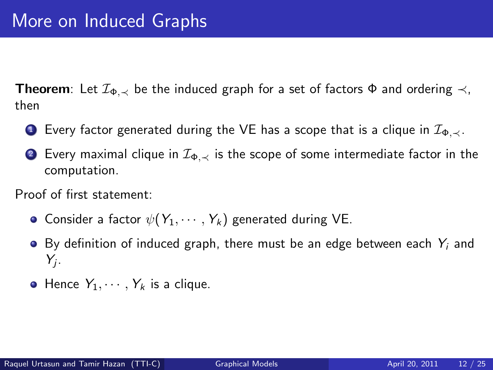**Theorem**: Let  $\mathcal{I}_{\Phi, \prec}$  be the induced graph for a set of factors  $\Phi$  and ordering  $\prec$ , then

- **■** Every factor generated during the VE has a scope that is a clique in  $\mathcal{I}_{\Phi,\prec}$ .
- 2 Every maximal clique in  $\mathcal{I}_{\Phi, \prec}$  is the scope of some intermediate factor in the computation.

Proof of first statement:

- **•** Consider a factor  $\psi(Y_1, \dots, Y_k)$  generated during VE.
- $\bullet$  By definition of induced graph, there must be an edge between each  $Y_i$  and  $Y_j$ .
- $\bullet$  Hence  $Y_1, \cdots, Y_k$  is a clique.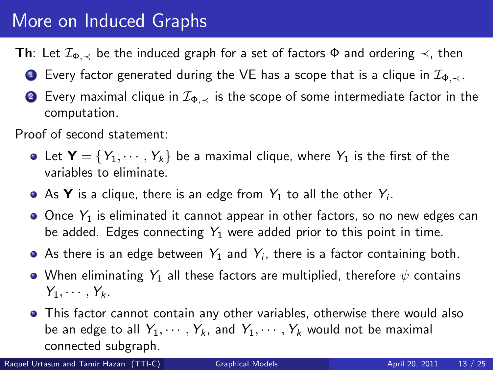# More on Induced Graphs

**Th**: Let  $\mathcal{I}_{\Phi, \prec}$  be the induced graph for a set of factors  $\Phi$  and ordering  $\prec$ , then

- **■** Every factor generated during the VE has a scope that is a clique in  $\mathcal{I}_{\Phi,\prec}$ .
- **2** Every maximal clique in  $\mathcal{I}_{\Phi, \prec}$  is the scope of some intermediate factor in the computation.

Proof of second statement:

- Let  $\mathbf{Y} = \{Y_1, \dots, Y_k\}$  be a maximal clique, where  $Y_1$  is the first of the variables to eliminate.
- As **Y** is a clique, there is an edge from  $Y_1$  to all the other  $Y_i$ .
- $\bullet$  Once  $Y_1$  is eliminated it cannot appear in other factors, so no new edges can be added. Edges connecting  $Y_1$  were added prior to this point in time.
- As there is an edge between  $\,Y_1$  and  $\,Y_i$ , there is a factor containing both.
- When eliminating  $Y_1$  all these factors are multiplied, therefore  $\psi$  contains  $Y_1, \cdots, Y_k$ .
- This factor cannot contain any other variables, otherwise there would also be an edge to all  $Y_1, \dots, Y_k$ , and  $Y_1, \dots, Y_k$  would not be maximal connected subgraph.

Raquel Urtasun and Tamir Hazan (TTI-C) [Graphical Models](#page-0-0) **April 20, 2011** 13 / 25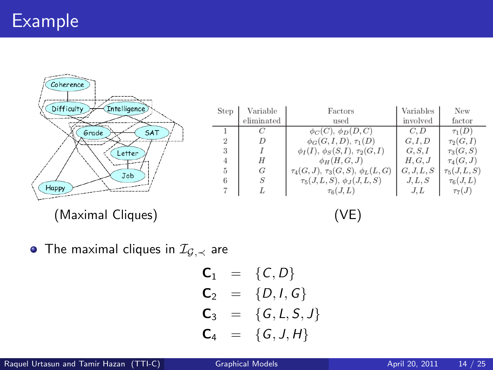$\begin{aligned} \hspace{0.0cm} \textcolor{blue}{\textbf{1.5}} \textcolor{blue}{\textbf{1.5}} \textcolor{blue}{\textbf{1.5}} \textcolor{blue}{\textbf{1.5}} \textcolor{blue}{\textbf{1.5}} \textcolor{blue}{\textbf{1.5}} \textcolor{blue}{\textbf{1.5}} \textcolor{blue}{\textbf{1.5}} \textcolor{blue}{\textbf{1.5}} \textcolor{blue}{\textbf{1.5}} \textcolor{blue}{\textbf{1.5}} \textcolor{blue}{\textbf{1.5}} \textcolor{blue}{\textbf{1.5}} \textcolor{blue}{\textbf{1.5}} \textcolor{blue}{\textbf{$ 

| Coherence                         |             |                |                                            |            |                 |
|-----------------------------------|-------------|----------------|--------------------------------------------|------------|-----------------|
| Intelligence<br><b>Difficulty</b> | <b>Step</b> | Variable       | Factors                                    | Variables  | New             |
|                                   |             | eliminated     | used                                       | involved   | factor          |
| SAT<br>Grade                      |             |                | $\phi_C(C), \phi_D(D, \overline{C})$       | C, D       | $\tau_1(D)$     |
|                                   | $\Omega$    | $\overline{D}$ | $\phi_G(G, I, D), \tau_1(D)$               | G, I, D    | $\tau_2(G,I)$   |
| Letter                            | 3           |                | $\phi_I(I), \phi_S(S, I), \tau_2(G, I)$    | G, S, I    | $\tau_3(G, S)$  |
|                                   |             | H              | $\phi_H(H,G,J)$                            | H, G, J    | $\tau_4(G,J)$   |
| Job                               | 5           | G              | $\tau_4(G, J), \tau_3(G, S), \phi_L(L, G)$ | G, J, L, S | $\tau_5(J,L,S)$ |
|                                   | 6           | S              | $\tau_5(J,L,S), \phi_J(J,L,S)$             | J, L, S    | $\tau_6(J,L)$   |
| Happy                             |             |                | $\tau_6(J,L)$                              | J.L        | $\tau_7(J)$     |

(Maximal Cliques) (VE)

• The maximal cliques in  $\mathcal{I}_{G,\prec}$  are

$$
C_1 = {C, D}C_2 = {D, I, G}C_3 = {G, L, S, J}C_4 = {G, J, H}
$$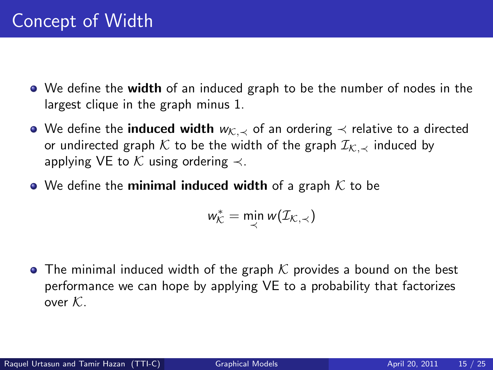- We define the **width** of an induced graph to be the number of nodes in the largest clique in the graph minus 1.
- $\bullet$  We define the **induced width**  $w_{\mathcal{K},\prec}$  of an ordering  $\prec$  relative to a directed or undirected graph K to be the width of the graph  $\mathcal{I}_{K,\prec}$  induced by applying VE to  $K$  using ordering  $\prec$ .
- We define the minimal induced width of a graph  $K$  to be

 $w_{\mathcal{K}}^* = \min_{\prec} w(\mathcal{I}_{\mathcal{K},\prec})$ 

• The minimal induced width of the graph  $K$  provides a bound on the best performance we can hope by applying VE to a probability that factorizes over  $K$ .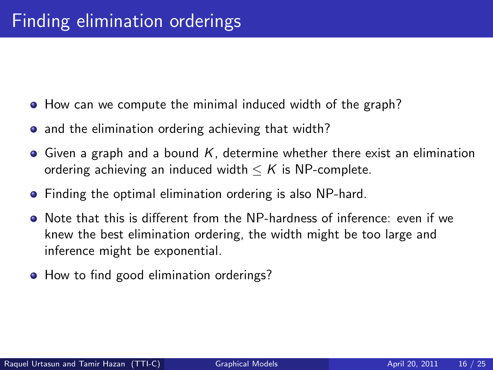- How can we compute the minimal induced width of the graph?
- and the elimination ordering achieving that width?
- $\bullet$  Given a graph and a bound K, determine whether there exist an elimination ordering achieving an induced width  $\leq K$  is NP-complete.
- Finding the optimal elimination ordering is also NP-hard.
- Note that this is different from the NP-hardness of inference: even if we knew the best elimination ordering, the width might be too large and inference might be exponential.
- How to find good elimination orderings?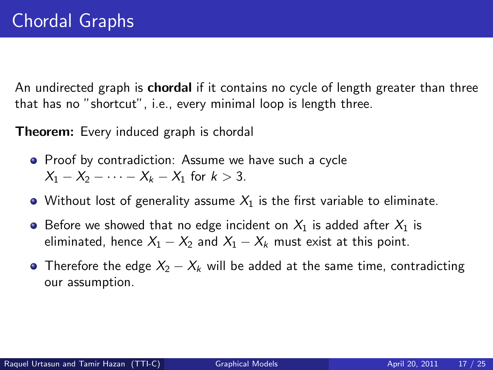An undirected graph is **chordal** if it contains no cycle of length greater than three that has no "shortcut", i.e., every minimal loop is length three.

**Theorem:** Every induced graph is chordal

- Proof by contradiction: Assume we have such a cycle  $X_1 - X_2 - \cdots - X_k - X_1$  for  $k > 3$ .
- Without lost of generality assume  $X_1$  is the first variable to eliminate.
- Before we showed that no edge incident on  $X_1$  is added after  $X_1$  is eliminated, hence  $X_1 - X_2$  and  $X_1 - X_k$  must exist at this point.
- Therefore the edge  $X_2 X_k$  will be added at the same time, contradicting our assumption.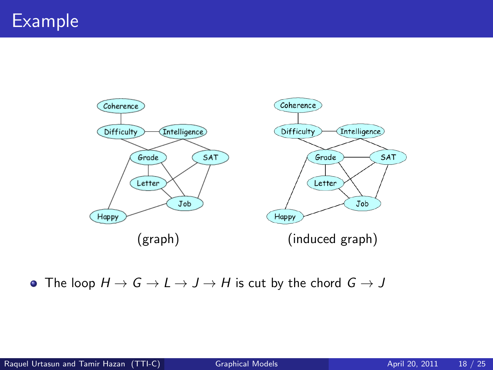

• The loop  $H \to G \to L \to J \to H$  is cut by the chord  $G \to J$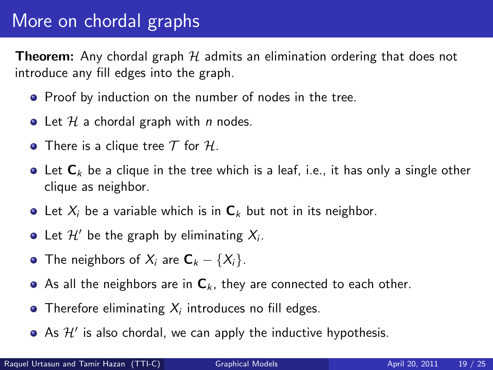## More on chordal graphs

**Theorem:** Any chordal graph  $H$  admits an elimination ordering that does not introduce any fill edges into the graph.

- **•** Proof by induction on the number of nodes in the tree.
- Let  $H$  a chordal graph with *n* nodes.
- There is a clique tree  $T$  for  $H$ .
- $\bullet$  Let  $C_k$  be a clique in the tree which is a leaf, i.e., it has only a single other clique as neighbor.
- Let  $X_i$  be a variable which is in  $C_k$  but not in its neighbor.
- Let  $\mathcal{H}'$  be the graph by eliminating  $X_i$ .
- The neighbors of  $X_i$  are  $C_k \{X_i\}$ .
- As all the neighbors are in  $C_k$ , they are connected to each other.
- Therefore eliminating  $X_i$  introduces no fill edges.
- As  $\mathcal{H}'$  is also chordal, we can apply the inductive hypothesis.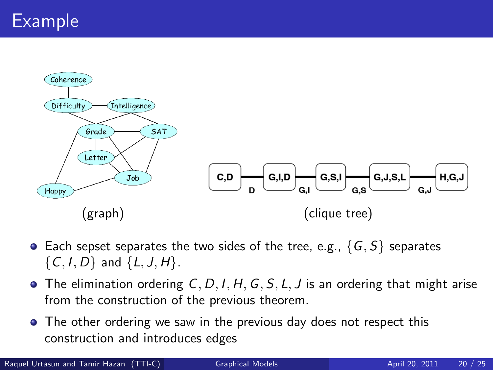

- Each sepset separates the two sides of the tree, e.g.,  $\{G, S\}$  separates  $\{C, I, D\}$  and  $\{L, J, H\}$ .
- $\bullet$  The elimination ordering C, D, I, H, G, S, L, J is an ordering that might arise from the construction of the previous theorem.
- The other ordering we saw in the previous day does not respect this construction and introduces edges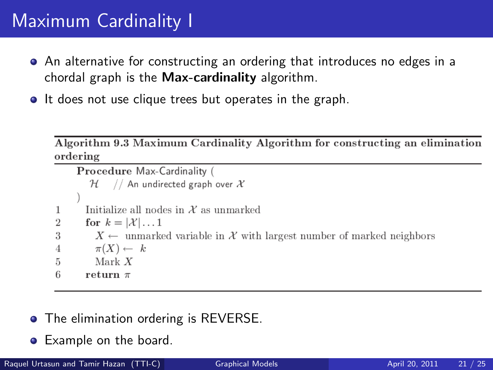## Maximum Cardinality I

- An alternative for constructing an ordering that introduces no edges in a chordal graph is the Max-cardinality algorithm.
- It does not use clique trees but operates in the graph.

Algorithm 9.3 Maximum Cardinality Algorithm for constructing an elimination ordering

```
Procedure Max-Cardinality (
         \mathcal{H} // An undirected graph over X
        Initialize all nodes in X as unmarked
1
\overline{2}for k = |\mathcal{X}| \dots 1X \leftarrow unmarked variable in X with largest number of marked neighbors
3
          \pi(X) \leftarrow k\boldsymbol{\Lambda}Mark X5
6
        return \pi
```
- The elimination ordering is REVERSE.
- **•** Example on the board.

Raquel Urtasun and Tamir Hazan (TTI-C) [Graphical Models](#page-0-0) **April 20, 2011** 21 / 25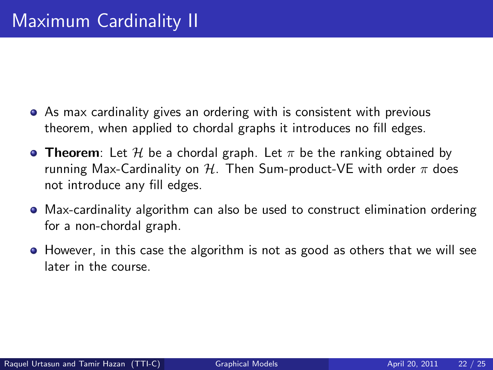- As max cardinality gives an ordering with is consistent with previous theorem, when applied to chordal graphs it introduces no fill edges.
- **Theorem**: Let H be a chordal graph. Let  $\pi$  be the ranking obtained by running Max-Cardinality on  $H$ . Then Sum-product-VE with order  $\pi$  does not introduce any fill edges.
- Max-cardinality algorithm can also be used to construct elimination ordering for a non-chordal graph.
- However, in this case the algorithm is not as good as others that we will see later in the course.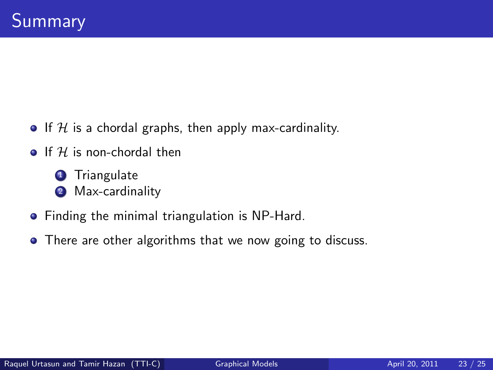- If H is a chordal graphs, then apply max-cardinality.
- $\bullet$  If  $H$  is non-chordal then
	- **1** Triangulate <sup>2</sup> Max-cardinality
- **•** Finding the minimal triangulation is NP-Hard.
- There are other algorithms that we now going to discuss.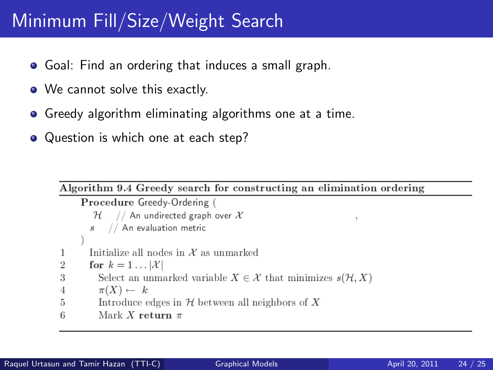## Minimum Fill/Size/Weight Search

- **•** Goal: Find an ordering that induces a small graph.
- We cannot solve this exactly.
- **•** Greedy algorithm eliminating algorithms one at a time.
- Question is which one at each step?

Algorithm 9.4 Greedy search for constructing an elimination ordering

```
Procedure Greedy-Ordering (
        \mathcal{H} // An undirected graph over X
       s // An evaluation metric
       Initialize all nodes in X as unmarked
1
\overline{2}for k = 1 \dots |\mathcal{X}|3
          Select an unmarked variable X \in \mathcal{X} that minimizes s(\mathcal{H}, X)\pi(X) \leftarrow k\overline{4}5
          Introduce edges in H between all neighbors of XMark X return \pi6
```